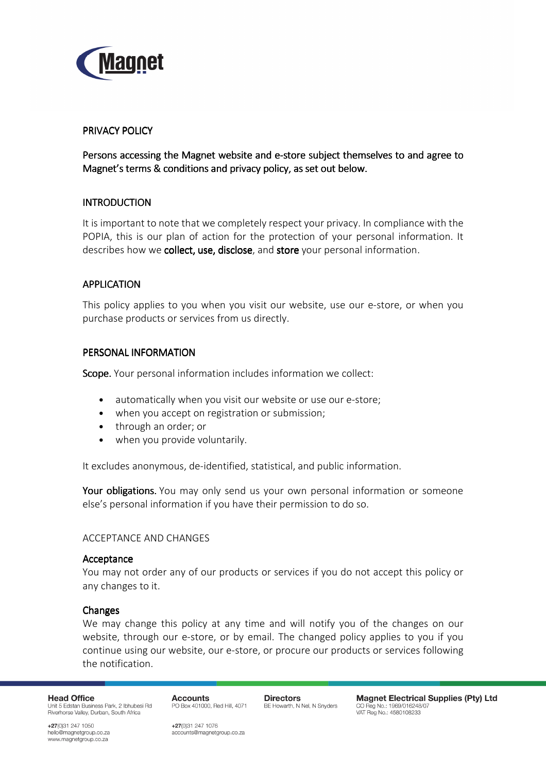

## PRIVACY POLICY

Persons accessing the Magnet website and e-store subject themselves to and agree to Magnet's terms & conditions and privacy policy, as set out below.

## **INTRODUCTION**

It is important to note that we completely respect your privacy. In compliance with the POPIA, this is our plan of action for the protection of your personal information. It describes how we collect, use, disclose, and store your personal information.

# APPLICATION

This policy applies to you when you visit our website, use our e-store, or when you purchase products or services from us directly.

## PERSONAL INFORMATION

Scope. Your personal information includes information we collect:

- automatically when you visit our website or use our e-store;
- when you accept on registration or submission;
- through an order; or
- when you provide voluntarily.

It excludes anonymous, de-identified, statistical, and public information.

**Your obligations.** You may only send us your own personal information or someone else's personal information if you have their permission to do so.

## ACCEPTANCE AND CHANGES

## Acceptance

You may not order any of our products or services if you do not accept this policy or any changes to it.

## **Changes**

We may change this policy at any time and will notify you of the changes on our website, through our e-store, or by email. The changed policy applies to you if you continue using our website, our e-store, or procure our products or services following the notification.

**Head Office** Unit 5 Edstan Business Park, 2 Ibhubesi Rd Riverhorse Valley, Durban, South Africa

**Accounts** PO Box 401000, Red Hill, 4071 **Directors** BE Howarth, N Nel, N Snyders

**Magnet Electrical Supplies (Pty) Ltd** CO Reg No.: 1969/016248/07 VAT Reg No.: 4580108233

+27(0)31 247 1050 hello@magnetgroup.co.za www.magnetgroup.co.za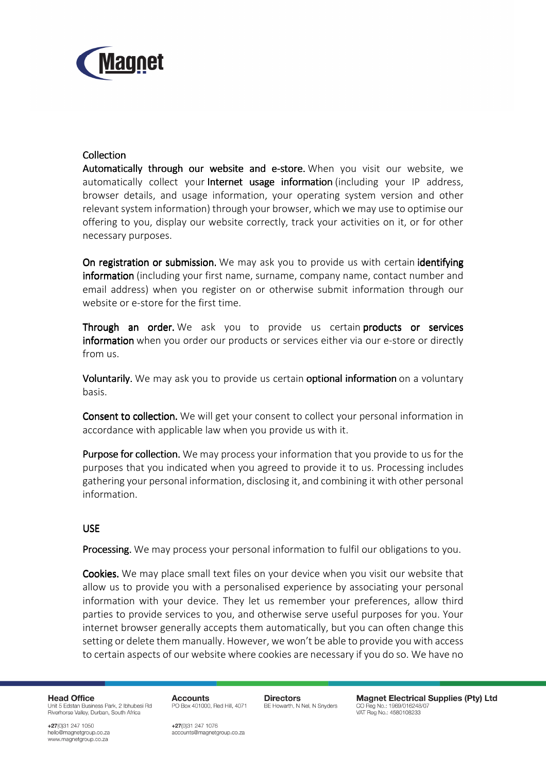

# **Collection**

Automatically through our website and e-store. When you visit our website, we automatically collect your **Internet usage information** (including your IP address, browser details, and usage information, your operating system version and other relevant system information) through your browser, which we may use to optimise our offering to you, display our website correctly, track your activities on it, or for other necessary purposes.

On registration or submission. We may ask you to provide us with certain identifying information (including your first name, surname, company name, contact number and email address) when you register on or otherwise submit information through our website or e-store for the first time.

Through an order. We ask you to provide us certain products or services information when you order our products or services either via our e-store or directly from us.

Voluntarily. We may ask you to provide us certain optional information on a voluntary basis.

Consent to collection. We will get your consent to collect your personal information in accordance with applicable law when you provide us with it.

Purpose for collection. We may process your information that you provide to us for the purposes that you indicated when you agreed to provide it to us. Processing includes gathering your personal information, disclosing it, and combining it with other personal information.

## USE

Processing. We may process your personal information to fulfil our obligations to you.

Cookies. We may place small text files on your device when you visit our website that allow us to provide you with a personalised experience by associating your personal information with your device. They let us remember your preferences, allow third parties to provide services to you, and otherwise serve useful purposes for you. Your internet browser generally accepts them automatically, but you can often change this setting or delete them manually. However, we won't be able to provide you with access to certain aspects of our website where cookies are necessary if you do so. We have no

**Head Office** Unit 5 Edstan Business Park, 2 Ibhubesi Rd Riverhorse Valley, Durban, South Africa

**Accounts** PO Box 401000, Red Hill, 4071 **Directors** BE Howarth, N Nel, N Snyders

**Magnet Electrical Supplies (Ptv) Ltd** CO Reg No.: 1969/016248/07 VAT Reg No.: 4580108233

+27(0)31 247 1050 hello@magnetgroup.co.za www.magnetgroup.co.za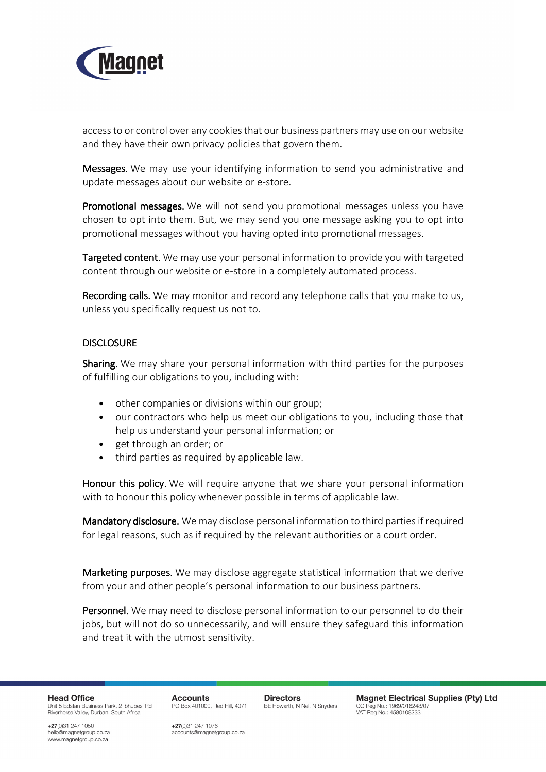

access to or control over any cookies that our business partners may use on our website and they have their own privacy policies that govern them.

Messages. We may use your identifying information to send you administrative and update messages about our website or e-store.

Promotional messages. We will not send you promotional messages unless you have chosen to opt into them. But, we may send you one message asking you to opt into promotional messages without you having opted into promotional messages.

Targeted content. We may use your personal information to provide you with targeted content through our website or e-store in a completely automated process.

Recording calls. We may monitor and record any telephone calls that you make to us, unless you specifically request us not to.

# DISCLOSURE

Sharing. We may share your personal information with third parties for the purposes of fulfilling our obligations to you, including with:

- other companies or divisions within our group;
- our contractors who help us meet our obligations to you, including those that help us understand your personal information; or
- get through an order; or
- third parties as required by applicable law.

Honour this policy. We will require anyone that we share your personal information with to honour this policy whenever possible in terms of applicable law.

Mandatory disclosure. We may disclose personal information to third parties if required for legal reasons, such as if required by the relevant authorities or a court order.

Marketing purposes. We may disclose aggregate statistical information that we derive from your and other people's personal information to our business partners.

Personnel. We may need to disclose personal information to our personnel to do their jobs, but will not do so unnecessarily, and will ensure they safeguard this information and treat it with the utmost sensitivity.

**Head Office** Unit 5 Edstan Business Park, 2 Ibhubesi Rd Riverhorse Valley, Durban, South Africa

**Accounts** PO Box 401000, Red Hill, 4071 **Directors** BE Howarth, N Nel, N Snyders

**Magnet Electrical Supplies (Ptv) Ltd** CO Reg No.: 1969/016248/0 VAT Reg No.: 4580108233

+27(0)31 247 1050 hello@magnetgroup.co.za www.magnetgroup.co.za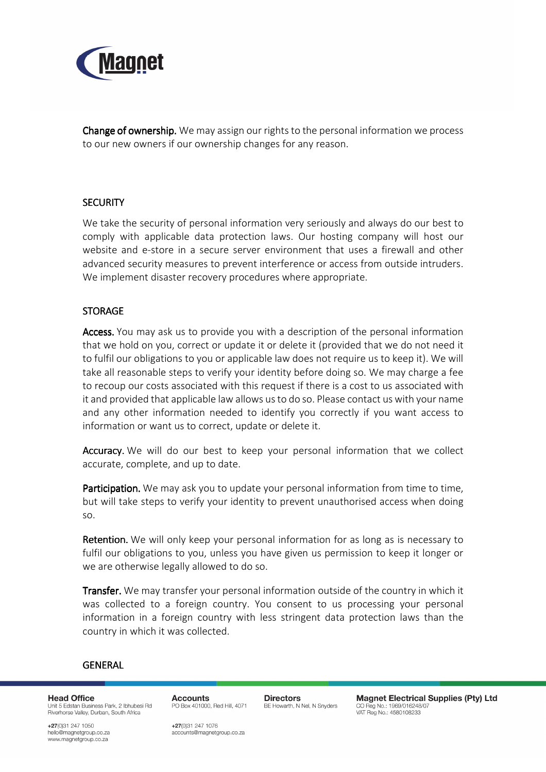

Change of ownership. We may assign our rights to the personal information we process to our new owners if our ownership changes for any reason.

# **SECURITY**

We take the security of personal information very seriously and always do our best to comply with applicable data protection laws. Our hosting company will host our website and e-store in a secure server environment that uses a firewall and other advanced security measures to prevent interference or access from outside intruders. We implement disaster recovery procedures where appropriate.

## **STORAGE**

Access. You may ask us to provide you with a description of the personal information that we hold on you, correct or update it or delete it (provided that we do not need it to fulfil our obligations to you or applicable law does not require us to keep it). We will take all reasonable steps to verify your identity before doing so. We may charge a fee to recoup our costs associated with this request if there is a cost to us associated with it and provided that applicable law allows us to do so. Please contact us with your name and any other information needed to identify you correctly if you want access to information or want us to correct, update or delete it.

Accuracy. We will do our best to keep your personal information that we collect accurate, complete, and up to date.

Participation. We may ask you to update your personal information from time to time. but will take steps to verify your identity to prevent unauthorised access when doing so.

Retention. We will only keep your personal information for as long as is necessary to fulfil our obligations to you, unless you have given us permission to keep it longer or we are otherwise legally allowed to do so.

**Transfer.** We may transfer your personal information outside of the country in which it was collected to a foreign country. You consent to us processing your personal information in a foreign country with less stringent data protection laws than the country in which it was collected.

### GENERAL

**Head Office** Unit 5 Edstan Business Park, 2 Ibhubesi Rd Riverhorse Valley, Durban, South Africa

**Accounts** PO Box 401000, Red Hill, 4071 **Directors** BE Howarth, N Nel, N Snyders

**Magnet Electrical Supplies (Ptv) Ltd** CO Reg No.: 1969/016248/07 VAT Reg No.: 4580108233

+27(0)31 247 1050 hello@magnetgroup.co.za www.magnetgroup.co.za